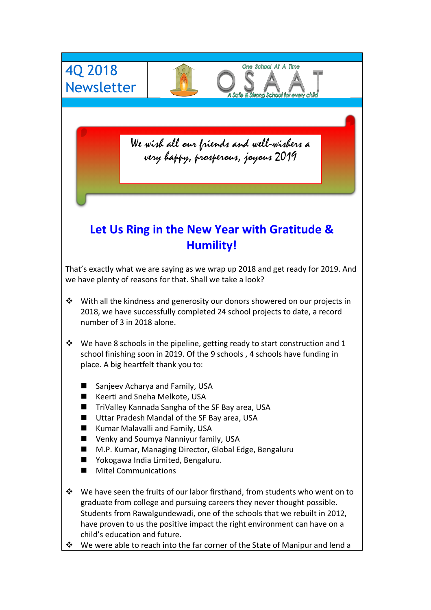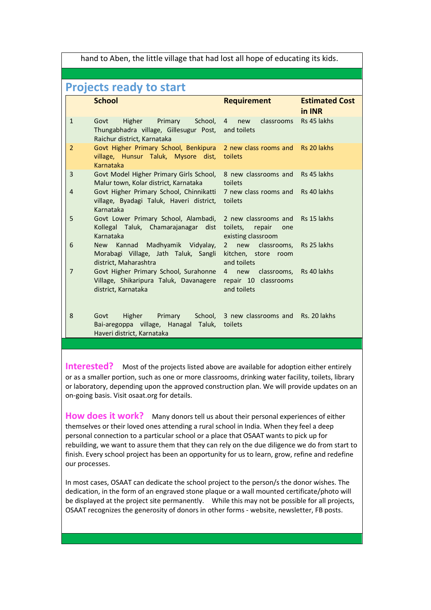hand to Aben, the little village that had lost all hope of educating its kids.

## **Projects ready to start**

|                | <b>School</b>                                                                                                             | <b>Requirement</b>                                                   | <b>Estimated Cost</b><br>in INR |
|----------------|---------------------------------------------------------------------------------------------------------------------------|----------------------------------------------------------------------|---------------------------------|
| $\mathbf{1}$   | School,<br>Higher<br>Primary<br>Govt<br>Thungabhadra village, Gillesugur Post, and toilets<br>Raichur district, Karnataka | classrooms<br>$\overline{4}$<br>new                                  | Rs 45 lakhs                     |
| $\overline{2}$ | Govt Higher Primary School, Benkipura 2 new class rooms and<br>village, Hunsur Taluk, Mysore dist, toilets<br>Karnataka   |                                                                      | Rs 20 lakhs                     |
| 3              | Govt Model Higher Primary Girls School, 8 new classrooms and<br>Malur town, Kolar district, Karnataka                     | toilets                                                              | Rs 45 lakhs                     |
| $\overline{4}$ | Govt Higher Primary School, Chinnikatti<br>village, Byadagi Taluk, Haveri district,<br>Karnataka                          | 7 new class rooms and<br>toilets                                     | Rs 40 lakhs                     |
| 5              | Govt Lower Primary School, Alambadi,<br>Kollegal Taluk, Chamarajanagar dist<br>Karnataka                                  | 2 new classrooms and<br>toilets, repair<br>one<br>existing classroom | Rs 15 lakhs                     |
| 6              | New Kannad Madhyamik Vidyalay,<br>Morabagi Village, Jath Taluk, Sangli<br>district, Maharashtra                           | new classrooms,<br>$2^{\circ}$<br>kitchen, store room<br>and toilets | Rs 25 lakhs                     |
| 7              | Govt Higher Primary School, Surahonne<br>Village, Shikaripura Taluk, Davanagere<br>district, Karnataka                    | classrooms,<br>4 new<br>repair 10 classrooms<br>and toilets          | Rs 40 lakhs                     |
| 8              | Higher<br>Govt<br>Bai-aregoppa village, Hanagal Taluk,<br>Haveri district, Karnataka                                      | Primary School, 3 new classrooms and<br>toilets                      | Rs. 20 lakhs                    |

**Interested?** Most of the projects listed above are available for adoption either entirely or as a smaller portion, such as one or more classrooms, drinking water facility, toilets, library or laboratory, depending upon the approved construction plan. We will provide updates on an on-going basis. Visit osaat.org for details.

**How does it work?** Many donors tell us about their personal experiences of either themselves or their loved ones attending a rural school in India. When they feel a deep personal connection to a particular school or a place that OSAAT wants to pick up for rebuilding, we want to assure them that they can rely on the due diligence we do from start to finish. Every school project has been an opportunity for us to learn, grow, refine and redefine our processes.

In most cases, OSAAT can dedicate the school project to the person/s the donor wishes. The dedication, in the form of an engraved stone plaque or a wall mounted certificate/photo will be displayed at the project site permanently. While this may not be possible for all projects, OSAAT recognizes the generosity of donors in other forms - website, newsletter, FB posts.